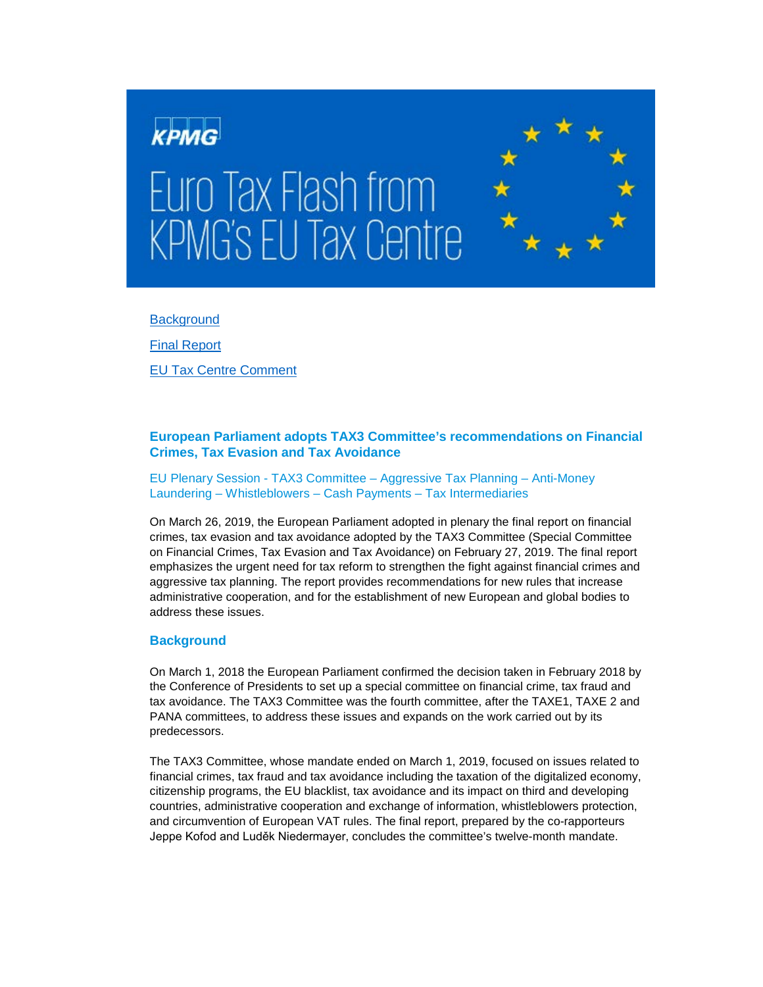

**[Background](#page-0-0)** 

[Final Report](#page-1-0)

[EU Tax Centre Comment](#page-2-0)

## **European Parliament adopts TAX3 Committee's recommendations on Financial Crimes, Tax Evasion and Tax Avoidance**

EU Plenary Session - TAX3 Committee – Aggressive Tax Planning – Anti-Money Laundering – Whistleblowers – Cash Payments – Tax Intermediaries

On March 26, 2019, the European Parliament adopted in plenary the final report on financial crimes, tax evasion and tax avoidance adopted by the TAX3 Committee (Special Committee on Financial Crimes, Tax Evasion and Tax Avoidance) on February 27, 2019. The final report emphasizes the urgent need for tax reform to strengthen the fight against financial crimes and aggressive tax planning. The report provides recommendations for new rules that increase administrative cooperation, and for the establishment of new European and global bodies to address these issues.

### <span id="page-0-0"></span>**Background**

On March 1, 2018 the European Parliament confirmed the decision taken in February 2018 by the Conference of Presidents to set up a special committee on financial crime, tax fraud and tax avoidance. The TAX3 Committee was the fourth committee, after the TAXE1, TAXE 2 and PANA committees, to address these issues and expands on the work carried out by its predecessors.

The TAX3 Committee, whose mandate ended on March 1, 2019, focused on issues related to financial crimes, tax fraud and tax avoidance including the taxation of the digitalized economy, citizenship programs, the EU blacklist, tax avoidance and its impact on third and developing countries, administrative cooperation and exchange of information, whistleblowers protection, and circumvention of European VAT rules. The final report, prepared by the co-rapporteurs Jeppe Kofod and Luděk Niedermayer, concludes the committee's twelve-month mandate.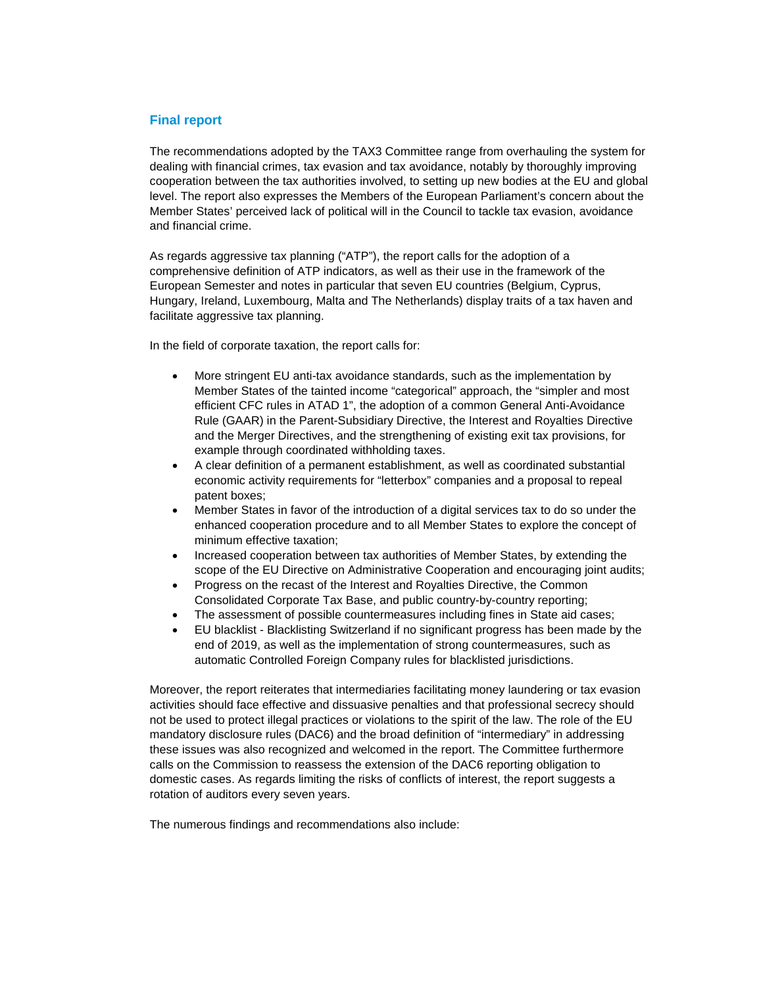#### <span id="page-1-0"></span>**Final report**

The recommendations adopted by the TAX3 Committee range from overhauling the system for dealing with financial crimes, tax evasion and tax avoidance, notably by thoroughly improving cooperation between the tax authorities involved, to setting up new bodies at the EU and global level. The report also expresses the Members of the European Parliament's concern about the Member States' perceived lack of political will in the Council to tackle tax evasion, avoidance and financial crime.

As regards aggressive tax planning ("ATP"), the report calls for the adoption of a comprehensive definition of ATP indicators, as well as their use in the framework of the European Semester and notes in particular that seven EU countries (Belgium, Cyprus, Hungary, Ireland, Luxembourg, Malta and The Netherlands) display traits of a tax haven and facilitate aggressive tax planning.

In the field of corporate taxation, the report calls for:

- More stringent EU anti-tax avoidance standards, such as the implementation by Member States of the tainted income "categorical" approach, the "simpler and most efficient CFC rules in ATAD 1", the adoption of a common General Anti-Avoidance Rule (GAAR) in the Parent-Subsidiary Directive, the Interest and Royalties Directive and the Merger Directives, and the strengthening of existing exit tax provisions, for example through coordinated withholding taxes.
- A clear definition of a permanent establishment, as well as coordinated substantial economic activity requirements for "letterbox" companies and a proposal to repeal patent boxes;
- Member States in favor of the introduction of a digital services tax to do so under the enhanced cooperation procedure and to all Member States to explore the concept of minimum effective taxation;
- Increased cooperation between tax authorities of Member States, by extending the scope of the EU Directive on Administrative Cooperation and encouraging joint audits;
- Progress on the recast of the Interest and Royalties Directive, the Common Consolidated Corporate Tax Base, and public country-by-country reporting;
- The assessment of possible countermeasures including fines in State aid cases;
- EU blacklist Blacklisting Switzerland if no significant progress has been made by the end of 2019, as well as the implementation of strong countermeasures, such as automatic Controlled Foreign Company rules for blacklisted jurisdictions.

Moreover, the report reiterates that intermediaries facilitating money laundering or tax evasion activities should face effective and dissuasive penalties and that professional secrecy should not be used to protect illegal practices or violations to the spirit of the law. The role of the EU mandatory disclosure rules (DAC6) and the broad definition of "intermediary" in addressing these issues was also recognized and welcomed in the report. The Committee furthermore calls on the Commission to reassess the extension of the DAC6 reporting obligation to domestic cases. As regards limiting the risks of conflicts of interest, the report suggests a rotation of auditors every seven years.

The numerous findings and recommendations also include: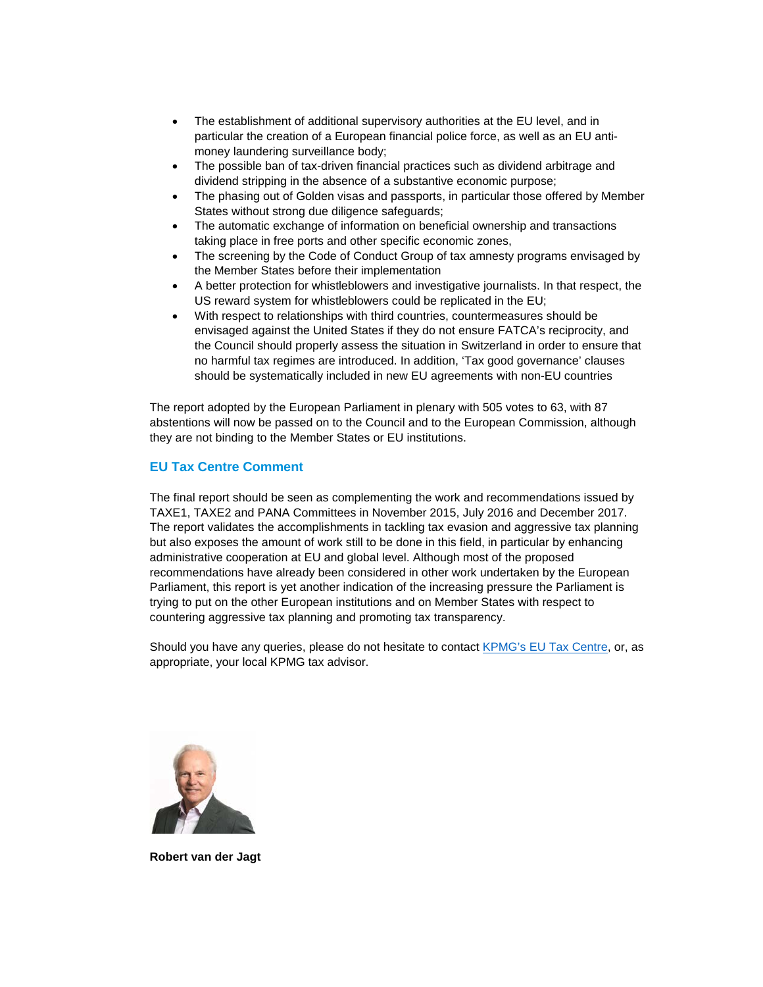- The establishment of additional supervisory authorities at the EU level, and in particular the creation of a European financial police force, as well as an EU antimoney laundering surveillance body;
- The possible ban of tax-driven financial practices such as dividend arbitrage and dividend stripping in the absence of a substantive economic purpose;
- The phasing out of Golden visas and passports, in particular those offered by Member States without strong due diligence safeguards;
- The automatic exchange of information on beneficial ownership and transactions taking place in free ports and other specific economic zones,
- The screening by the Code of Conduct Group of tax amnesty programs envisaged by the Member States before their implementation
- A better protection for whistleblowers and investigative journalists. In that respect, the US reward system for whistleblowers could be replicated in the EU;
- With respect to relationships with third countries, countermeasures should be envisaged against the United States if they do not ensure FATCA's reciprocity, and the Council should properly assess the situation in Switzerland in order to ensure that no harmful tax regimes are introduced. In addition, 'Tax good governance' clauses should be systematically included in new EU agreements with non-EU countries

The report adopted by the European Parliament in plenary with 505 votes to 63, with 87 abstentions will now be passed on to the Council and to the European Commission, although they are not binding to the Member States or EU institutions.

# <span id="page-2-0"></span>**EU Tax Centre Comment**

The final report should be seen as complementing the work and recommendations issued by TAXE1, TAXE2 and PANA Committees in November 2015, July 2016 and December 2017. The report validates the accomplishments in tackling tax evasion and aggressive tax planning but also exposes the amount of work still to be done in this field, in particular by enhancing administrative cooperation at EU and global level. Although most of the proposed recommendations have already been considered in other work undertaken by the European Parliament, this report is yet another indication of the increasing pressure the Parliament is trying to put on the other European institutions and on Member States with respect to countering aggressive tax planning and promoting tax transparency.

Should you have any queries, please do not hesitate to contact [KPMG's EU Tax Centre,](mailto:kpmgeutaxcentre@kpmg.com) or, as appropriate, your local KPMG tax advisor.



**Robert van der Jagt**